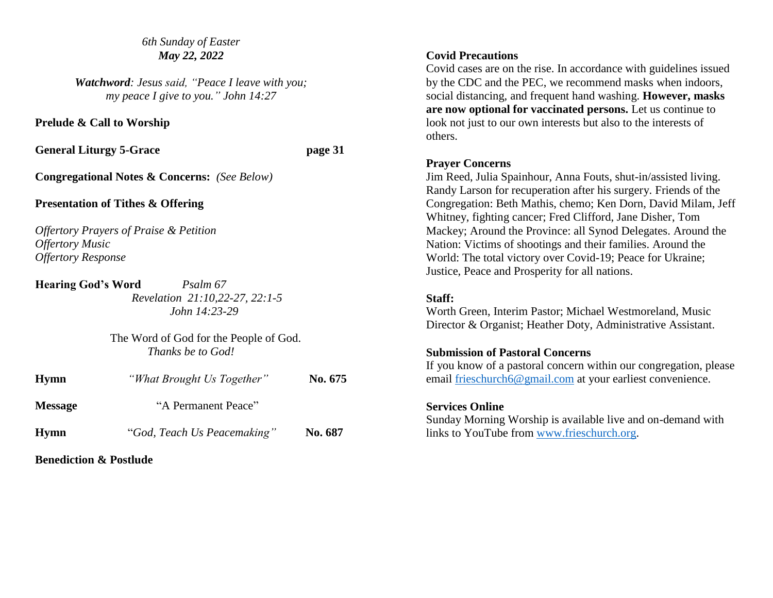#### *6th Sunday of Easter May 22, 2022*

*Watchword: Jesus said, "Peace I leave with you; my peace I give to you." John 14:27*

**Prelude & Call to Worship**

**General Liturgy 5-Grace page 31** 

**Congregational Notes & Concerns:** *(See Below)*

#### **Presentation of Tithes & Offering**

*Offertory Prayers of Praise & Petition Offertory Music Offertory Response*

**Hearing God's Word** *Psalm 67 Revelation 21:10,22-27, 22:1-5 John 14:23-29*

> The Word of God for the People of God. *Thanks be to God!*

| <b>Hymn</b>    | "What Brought Us Together"  | No. 675 |
|----------------|-----------------------------|---------|
| <b>Message</b> | "A Permanent Peace"         |         |
| <b>Hymn</b>    | "God, Teach Us Peacemaking" | No. 687 |

**Benediction & Postlude**

# **Covid Precautions**

Covid cases are on the rise. In accordance with guidelines issued by the CDC and the PEC, we recommend masks when indoors, social distancing, and frequent hand washing. **However, masks are now optional for vaccinated persons.** Let us continue to look not just to our own interests but also to the interests of others.

#### **Prayer Concerns**

Jim Reed, Julia Spainhour, Anna Fouts, shut-in/assisted living. Randy Larson for recuperation after his surgery. Friends of the Congregation: Beth Mathis, chemo; Ken Dorn, David Milam, Jeff Whitney, fighting cancer; Fred Clifford, Jane Disher, Tom Mackey; Around the Province: all Synod Delegates. Around the Nation: Victims of shootings and their families. Around the World: The total victory over Covid-19; Peace for Ukraine; Justice, Peace and Prosperity for all nations.

### **Staff:**

Worth Green, Interim Pastor; Michael Westmoreland, Music Director & Organist; Heather Doty, Administrative Assistant.

# **Submission of Pastoral Concerns**

If you know of a pastoral concern within our congregation, please email [frieschurch6@gmail.com](mailto:frieschurch6@gmail.com) at your earliest convenience.

# **Services Online**

Sunday Morning Worship is available live and on-demand with links to YouTube from [www.frieschurch.org.](http://www.frieschurch.org/)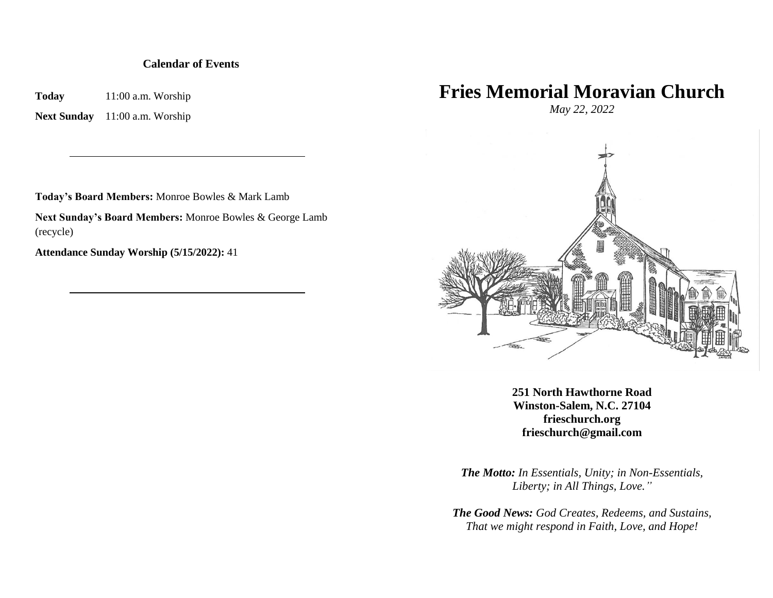#### **Calendar of Events**

**Today** 11:00 a.m. Worship

**Next Sunday** 11:00 a.m. Worship

**Today's Board Members:** Monroe Bowles & Mark Lamb

**Next Sunday's Board Members:** Monroe Bowles & George Lamb (recycle)

**Attendance Sunday Worship (5/15/2022):** 41

# **Fries Memorial Moravian Church**

*May 22, 2022*



**251 North Hawthorne Road Winston-Salem, N.C. 27104 frieschurch.org frieschurch@gmail.com**

*The Motto: In Essentials, Unity; in Non-Essentials, Liberty; in All Things, Love."*

*The Good News: God Creates, Redeems, and Sustains, That we might respond in Faith, Love, and Hope!*